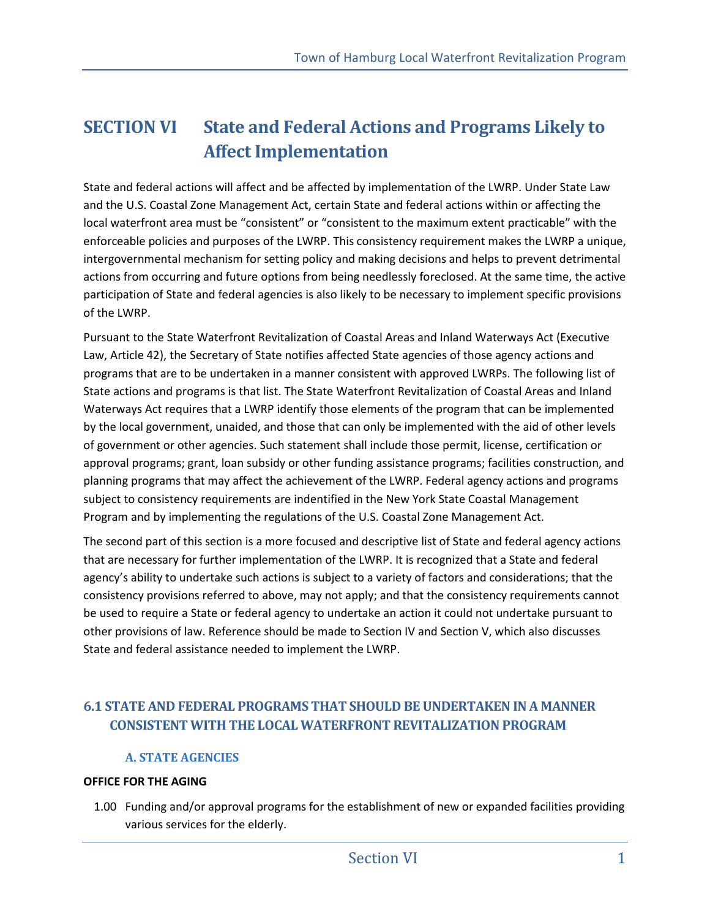# **SECTION VI State and Federal Actions and Programs Likely to Affect Implementation**

State and federal actions will affect and be affected by implementation of the LWRP. Under State Law and the U.S. Coastal Zone Management Act, certain State and federal actions within or affecting the local waterfront area must be "consistent" or "consistent to the maximum extent practicable" with the enforceable policies and purposes of the LWRP. This consistency requirement makes the LWRP a unique, intergovernmental mechanism for setting policy and making decisions and helps to prevent detrimental actions from occurring and future options from being needlessly foreclosed. At the same time, the active participation of State and federal agencies is also likely to be necessary to implement specific provisions of the LWRP.

Pursuant to the State Waterfront Revitalization of Coastal Areas and Inland Waterways Act (Executive Law, Article 42), the Secretary of State notifies affected State agencies of those agency actions and programs that are to be undertaken in a manner consistent with approved LWRPs. The following list of State actions and programs is that list. The State Waterfront Revitalization of Coastal Areas and Inland Waterways Act requires that a LWRP identify those elements of the program that can be implemented by the local government, unaided, and those that can only be implemented with the aid of other levels of government or other agencies. Such statement shall include those permit, license, certification or approval programs; grant, loan subsidy or other funding assistance programs; facilities construction, and planning programs that may affect the achievement of the LWRP. Federal agency actions and programs subject to consistency requirements are indentified in the New York State Coastal Management Program and by implementing the regulations of the U.S. Coastal Zone Management Act.

The second part of this section is a more focused and descriptive list of State and federal agency actions that are necessary for further implementation of the LWRP. It is recognized that a State and federal agency's ability to undertake such actions is subject to a variety of factors and considerations; that the consistency provisions referred to above, may not apply; and that the consistency requirements cannot be used to require a State or federal agency to undertake an action it could not undertake pursuant to other provisions of law. Reference should be made to Section IV and Section V, which also discusses State and federal assistance needed to implement the LWRP.

## **6.1 STATE AND FEDERAL PROGRAMS THAT SHOULD BE UNDERTAKEN IN A MANNER CONSISTENT WITH THE LOCAL WATERFRONT REVITALIZATION PROGRAM**

## **A. STATE AGENCIES**

## **OFFICE FOR THE AGING**

1.00 Funding and/or approval programs for the establishment of new or expanded facilities providing various services for the elderly.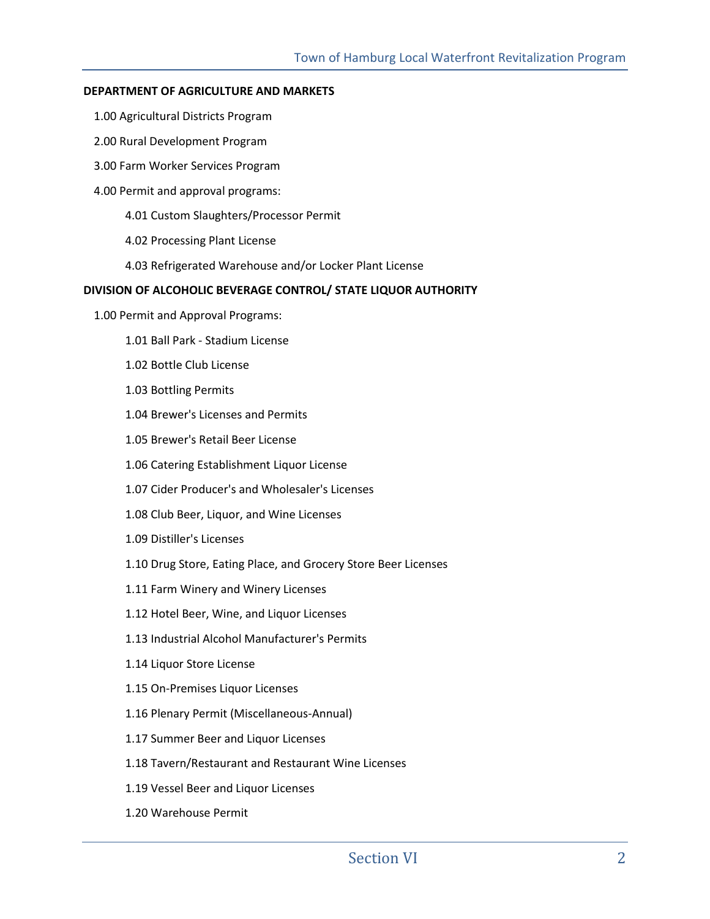#### **DEPARTMENT OF AGRICULTURE AND MARKETS**

- 1.00 Agricultural Districts Program
- 2.00 Rural Development Program
- 3.00 Farm Worker Services Program
- 4.00 Permit and approval programs:
	- 4.01 Custom Slaughters/Processor Permit
	- 4.02 Processing Plant License
	- 4.03 Refrigerated Warehouse and/or Locker Plant License

#### **DIVISION OF ALCOHOLIC BEVERAGE CONTROL/ STATE LIQUOR AUTHORITY**

- 1.00 Permit and Approval Programs:
	- 1.01 Ball Park Stadium License
	- 1.02 Bottle Club License
	- 1.03 Bottling Permits
	- 1.04 Brewer's Licenses and Permits
	- 1.05 Brewer's Retail Beer License
	- 1.06 Catering Establishment Liquor License
	- 1.07 Cider Producer's and Wholesaler's Licenses
	- 1.08 Club Beer, Liquor, and Wine Licenses
	- 1.09 Distiller's Licenses
	- 1.10 Drug Store, Eating Place, and Grocery Store Beer Licenses
	- 1.11 Farm Winery and Winery Licenses
	- 1.12 Hotel Beer, Wine, and Liquor Licenses
	- 1.13 Industrial Alcohol Manufacturer's Permits
	- 1.14 Liquor Store License
	- 1.15 On-Premises Liquor Licenses
	- 1.16 Plenary Permit (Miscellaneous-Annual)
	- 1.17 Summer Beer and Liquor Licenses
	- 1.18 Tavern/Restaurant and Restaurant Wine Licenses
	- 1.19 Vessel Beer and Liquor Licenses
	- 1.20 Warehouse Permit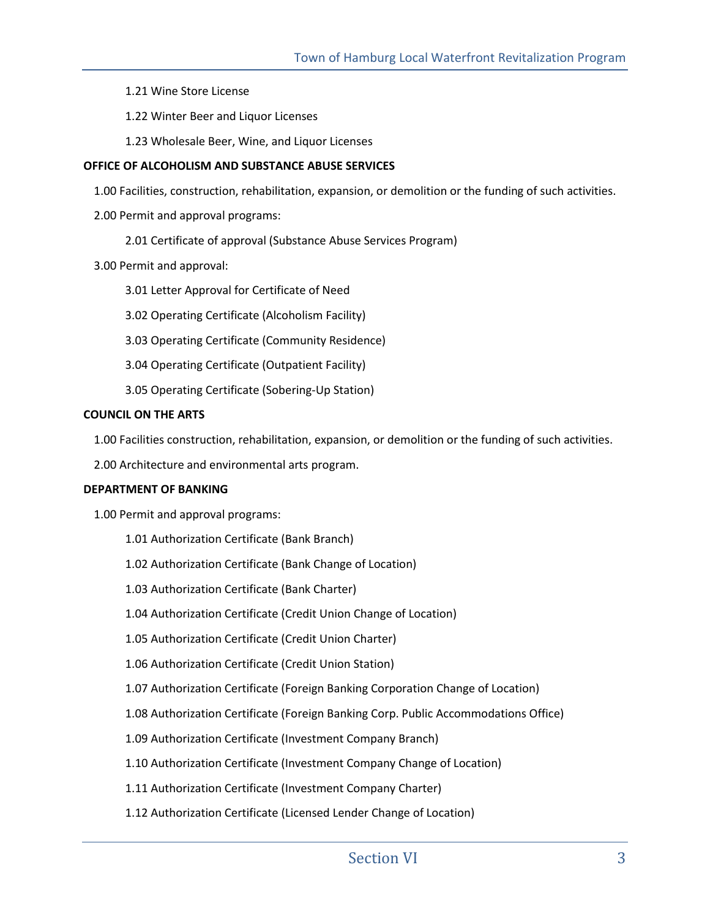1.21 Wine Store License

- 1.22 Winter Beer and Liquor Licenses
- 1.23 Wholesale Beer, Wine, and Liquor Licenses

#### **OFFICE OF ALCOHOLISM AND SUBSTANCE ABUSE SERVICES**

1.00 Facilities, construction, rehabilitation, expansion, or demolition or the funding of such activities.

- 2.00 Permit and approval programs:
	- 2.01 Certificate of approval (Substance Abuse Services Program)
- 3.00 Permit and approval:
	- 3.01 Letter Approval for Certificate of Need
	- 3.02 Operating Certificate (Alcoholism Facility)
	- 3.03 Operating Certificate (Community Residence)
	- 3.04 Operating Certificate (Outpatient Facility)
	- 3.05 Operating Certificate (Sobering-Up Station)

#### **COUNCIL ON THE ARTS**

1.00 Facilities construction, rehabilitation, expansion, or demolition or the funding of such activities.

2.00 Architecture and environmental arts program.

#### **DEPARTMENT OF BANKING**

1.00 Permit and approval programs:

- 1.01 Authorization Certificate (Bank Branch)
- 1.02 Authorization Certificate (Bank Change of Location)
- 1.03 Authorization Certificate (Bank Charter)
- 1.04 Authorization Certificate (Credit Union Change of Location)
- 1.05 Authorization Certificate (Credit Union Charter)
- 1.06 Authorization Certificate (Credit Union Station)
- 1.07 Authorization Certificate (Foreign Banking Corporation Change of Location)
- 1.08 Authorization Certificate (Foreign Banking Corp. Public Accommodations Office)
- 1.09 Authorization Certificate (Investment Company Branch)
- 1.10 Authorization Certificate (Investment Company Change of Location)
- 1.11 Authorization Certificate (Investment Company Charter)
- 1.12 Authorization Certificate (Licensed Lender Change of Location)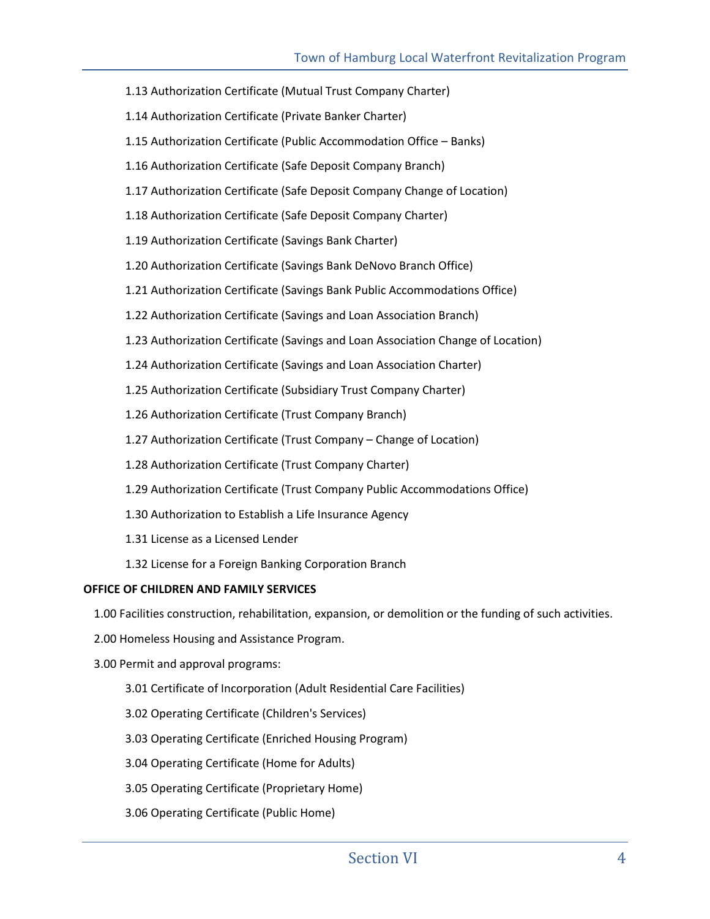- 1.13 Authorization Certificate (Mutual Trust Company Charter)
- 1.14 Authorization Certificate (Private Banker Charter)
- 1.15 Authorization Certificate (Public Accommodation Office Banks)
- 1.16 Authorization Certificate (Safe Deposit Company Branch)
- 1.17 Authorization Certificate (Safe Deposit Company Change of Location)
- 1.18 Authorization Certificate (Safe Deposit Company Charter)
- 1.19 Authorization Certificate (Savings Bank Charter)
- 1.20 Authorization Certificate (Savings Bank DeNovo Branch Office)
- 1.21 Authorization Certificate (Savings Bank Public Accommodations Office)
- 1.22 Authorization Certificate (Savings and Loan Association Branch)
- 1.23 Authorization Certificate (Savings and Loan Association Change of Location)
- 1.24 Authorization Certificate (Savings and Loan Association Charter)
- 1.25 Authorization Certificate (Subsidiary Trust Company Charter)
- 1.26 Authorization Certificate (Trust Company Branch)
- 1.27 Authorization Certificate (Trust Company Change of Location)
- 1.28 Authorization Certificate (Trust Company Charter)
- 1.29 Authorization Certificate (Trust Company Public Accommodations Office)
- 1.30 Authorization to Establish a Life Insurance Agency
- 1.31 License as a Licensed Lender
- 1.32 License for a Foreign Banking Corporation Branch

## **OFFICE OF CHILDREN AND FAMILY SERVICES**

1.00 Facilities construction, rehabilitation, expansion, or demolition or the funding of such activities.

- 2.00 Homeless Housing and Assistance Program.
- 3.00 Permit and approval programs:
	- 3.01 Certificate of Incorporation (Adult Residential Care Facilities)
	- 3.02 Operating Certificate (Children's Services)
	- 3.03 Operating Certificate (Enriched Housing Program)
	- 3.04 Operating Certificate (Home for Adults)
	- 3.05 Operating Certificate (Proprietary Home)
	- 3.06 Operating Certificate (Public Home)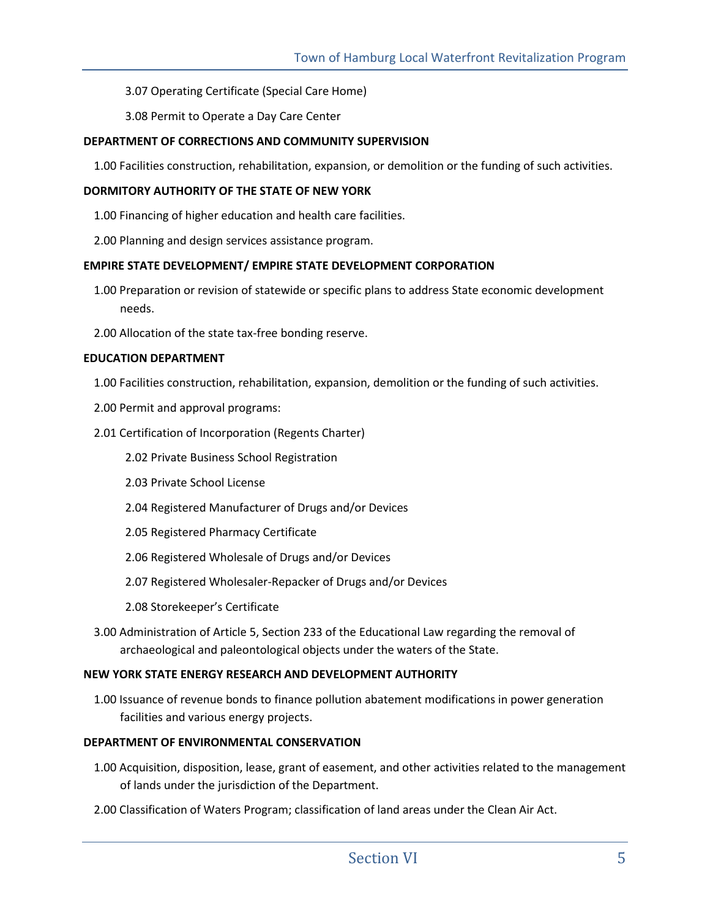3.07 Operating Certificate (Special Care Home)

3.08 Permit to Operate a Day Care Center

### **DEPARTMENT OF CORRECTIONS AND COMMUNITY SUPERVISION**

1.00 Facilities construction, rehabilitation, expansion, or demolition or the funding of such activities.

#### **DORMITORY AUTHORITY OF THE STATE OF NEW YORK**

1.00 Financing of higher education and health care facilities.

2.00 Planning and design services assistance program.

#### **EMPIRE STATE DEVELOPMENT/ EMPIRE STATE DEVELOPMENT CORPORATION**

- 1.00 Preparation or revision of statewide or specific plans to address State economic development needs.
- 2.00 Allocation of the state tax-free bonding reserve.

#### **EDUCATION DEPARTMENT**

- 1.00 Facilities construction, rehabilitation, expansion, demolition or the funding of such activities.
- 2.00 Permit and approval programs:
- 2.01 Certification of Incorporation (Regents Charter)
	- 2.02 Private Business School Registration
	- 2.03 Private School License
	- 2.04 Registered Manufacturer of Drugs and/or Devices
	- 2.05 Registered Pharmacy Certificate
	- 2.06 Registered Wholesale of Drugs and/or Devices
	- 2.07 Registered Wholesaler-Repacker of Drugs and/or Devices
	- 2.08 Storekeeper's Certificate
- 3.00 Administration of Article 5, Section 233 of the Educational Law regarding the removal of archaeological and paleontological objects under the waters of the State.

#### **NEW YORK STATE ENERGY RESEARCH AND DEVELOPMENT AUTHORITY**

1.00 Issuance of revenue bonds to finance pollution abatement modifications in power generation facilities and various energy projects.

#### **DEPARTMENT OF ENVIRONMENTAL CONSERVATION**

- 1.00 Acquisition, disposition, lease, grant of easement, and other activities related to the management of lands under the jurisdiction of the Department.
- 2.00 Classification of Waters Program; classification of land areas under the Clean Air Act.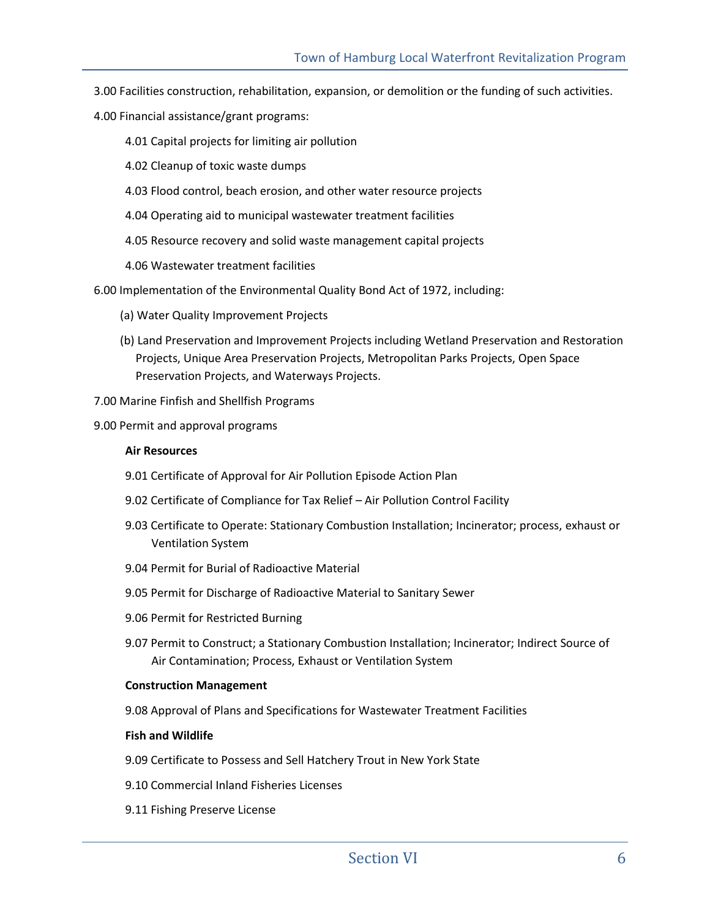- 3.00 Facilities construction, rehabilitation, expansion, or demolition or the funding of such activities.
- 4.00 Financial assistance/grant programs:
	- 4.01 Capital projects for limiting air pollution
	- 4.02 Cleanup of toxic waste dumps
	- 4.03 Flood control, beach erosion, and other water resource projects
	- 4.04 Operating aid to municipal wastewater treatment facilities
	- 4.05 Resource recovery and solid waste management capital projects
	- 4.06 Wastewater treatment facilities

6.00 Implementation of the Environmental Quality Bond Act of 1972, including:

- (a) Water Quality Improvement Projects
- (b) Land Preservation and Improvement Projects including Wetland Preservation and Restoration Projects, Unique Area Preservation Projects, Metropolitan Parks Projects, Open Space Preservation Projects, and Waterways Projects.
- 7.00 Marine Finfish and Shellfish Programs
- 9.00 Permit and approval programs

#### **Air Resources**

- 9.01 Certificate of Approval for Air Pollution Episode Action Plan
- 9.02 Certificate of Compliance for Tax Relief Air Pollution Control Facility
- 9.03 Certificate to Operate: Stationary Combustion Installation; Incinerator; process, exhaust or Ventilation System
- 9.04 Permit for Burial of Radioactive Material
- 9.05 Permit for Discharge of Radioactive Material to Sanitary Sewer
- 9.06 Permit for Restricted Burning
- 9.07 Permit to Construct; a Stationary Combustion Installation; Incinerator; Indirect Source of Air Contamination; Process, Exhaust or Ventilation System

#### **Construction Management**

9.08 Approval of Plans and Specifications for Wastewater Treatment Facilities

#### **Fish and Wildlife**

- 9.09 Certificate to Possess and Sell Hatchery Trout in New York State
- 9.10 Commercial Inland Fisheries Licenses
- 9.11 Fishing Preserve License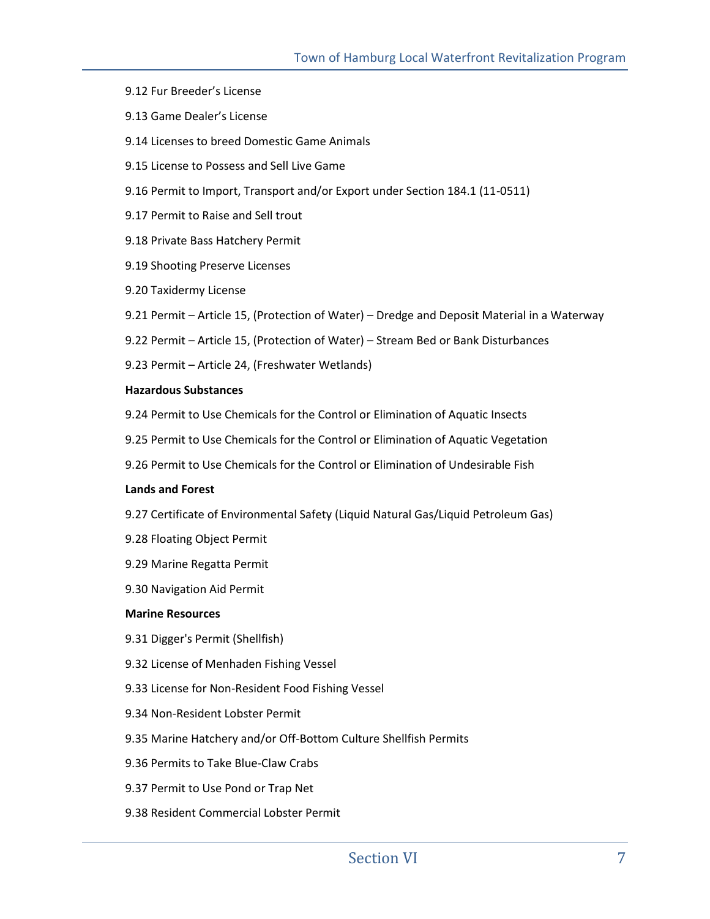- 9.12 Fur Breeder's License
- 9.13 Game Dealer's License
- 9.14 Licenses to breed Domestic Game Animals
- 9.15 License to Possess and Sell Live Game
- 9.16 Permit to Import, Transport and/or Export under Section 184.1 (11-0511)
- 9.17 Permit to Raise and Sell trout
- 9.18 Private Bass Hatchery Permit
- 9.19 Shooting Preserve Licenses
- 9.20 Taxidermy License
- 9.21 Permit Article 15, (Protection of Water) Dredge and Deposit Material in a Waterway
- 9.22 Permit Article 15, (Protection of Water) Stream Bed or Bank Disturbances
- 9.23 Permit Article 24, (Freshwater Wetlands)

#### **Hazardous Substances**

- 9.24 Permit to Use Chemicals for the Control or Elimination of Aquatic Insects
- 9.25 Permit to Use Chemicals for the Control or Elimination of Aquatic Vegetation
- 9.26 Permit to Use Chemicals for the Control or Elimination of Undesirable Fish

#### **Lands and Forest**

- 9.27 Certificate of Environmental Safety (Liquid Natural Gas/Liquid Petroleum Gas)
- 9.28 Floating Object Permit
- 9.29 Marine Regatta Permit
- 9.30 Navigation Aid Permit

#### **Marine Resources**

- 9.31 Digger's Permit (Shellfish)
- 9.32 License of Menhaden Fishing Vessel
- 9.33 License for Non-Resident Food Fishing Vessel
- 9.34 Non-Resident Lobster Permit
- 9.35 Marine Hatchery and/or Off-Bottom Culture Shellfish Permits
- 9.36 Permits to Take Blue-Claw Crabs
- 9.37 Permit to Use Pond or Trap Net
- 9.38 Resident Commercial Lobster Permit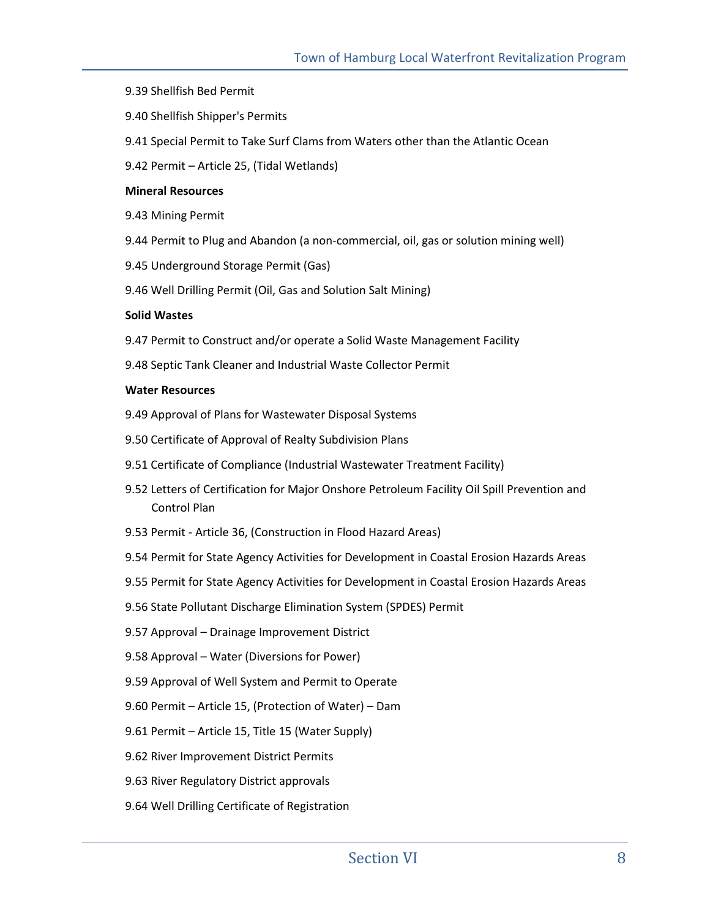- 9.39 Shellfish Bed Permit
- 9.40 Shellfish Shipper's Permits
- 9.41 Special Permit to Take Surf Clams from Waters other than the Atlantic Ocean
- 9.42 Permit Article 25, (Tidal Wetlands)

#### **Mineral Resources**

- 9.43 Mining Permit
- 9.44 Permit to Plug and Abandon (a non-commercial, oil, gas or solution mining well)
- 9.45 Underground Storage Permit (Gas)
- 9.46 Well Drilling Permit (Oil, Gas and Solution Salt Mining)

#### **Solid Wastes**

- 9.47 Permit to Construct and/or operate a Solid Waste Management Facility
- 9.48 Septic Tank Cleaner and Industrial Waste Collector Permit

#### **Water Resources**

- 9.49 Approval of Plans for Wastewater Disposal Systems
- 9.50 Certificate of Approval of Realty Subdivision Plans
- 9.51 Certificate of Compliance (Industrial Wastewater Treatment Facility)
- 9.52 Letters of Certification for Major Onshore Petroleum Facility Oil Spill Prevention and Control Plan
- 9.53 Permit Article 36, (Construction in Flood Hazard Areas)
- 9.54 Permit for State Agency Activities for Development in Coastal Erosion Hazards Areas
- 9.55 Permit for State Agency Activities for Development in Coastal Erosion Hazards Areas
- 9.56 State Pollutant Discharge Elimination System (SPDES) Permit
- 9.57 Approval Drainage Improvement District
- 9.58 Approval Water (Diversions for Power)
- 9.59 Approval of Well System and Permit to Operate
- 9.60 Permit Article 15, (Protection of Water) Dam
- 9.61 Permit Article 15, Title 15 (Water Supply)
- 9.62 River Improvement District Permits
- 9.63 River Regulatory District approvals
- 9.64 Well Drilling Certificate of Registration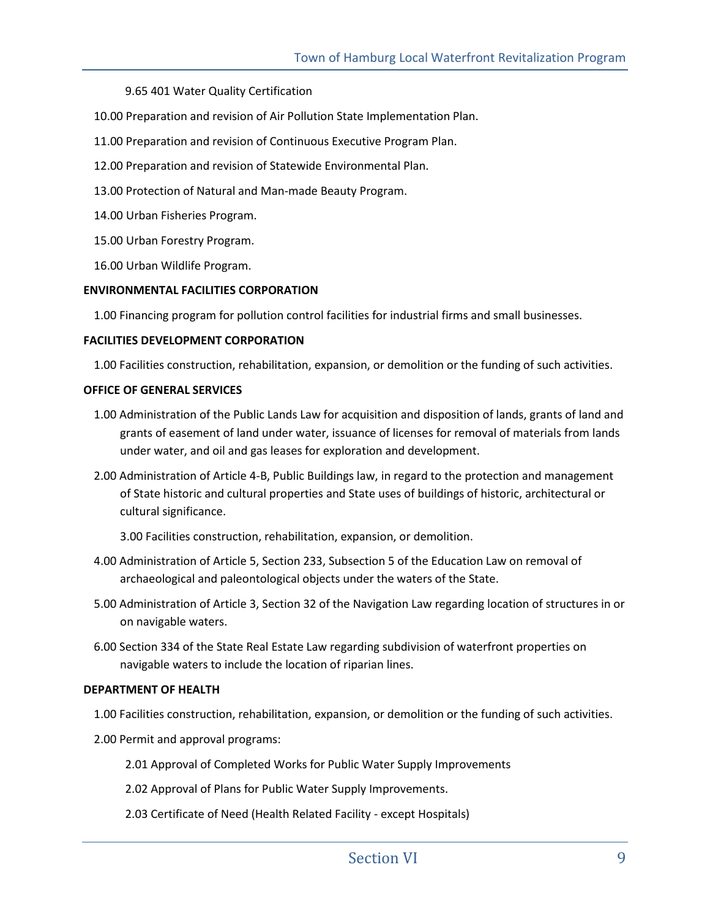#### 9.65 401 Water Quality Certification

- 10.00 Preparation and revision of Air Pollution State Implementation Plan.
- 11.00 Preparation and revision of Continuous Executive Program Plan.
- 12.00 Preparation and revision of Statewide Environmental Plan.
- 13.00 Protection of Natural and Man-made Beauty Program.
- 14.00 Urban Fisheries Program.
- 15.00 Urban Forestry Program.
- 16.00 Urban Wildlife Program.

#### **ENVIRONMENTAL FACILITIES CORPORATION**

1.00 Financing program for pollution control facilities for industrial firms and small businesses.

#### **FACILITIES DEVELOPMENT CORPORATION**

1.00 Facilities construction, rehabilitation, expansion, or demolition or the funding of such activities.

#### **OFFICE OF GENERAL SERVICES**

- 1.00 Administration of the Public Lands Law for acquisition and disposition of lands, grants of land and grants of easement of land under water, issuance of licenses for removal of materials from lands under water, and oil and gas leases for exploration and development.
- 2.00 Administration of Article 4-B, Public Buildings law, in regard to the protection and management of State historic and cultural properties and State uses of buildings of historic, architectural or cultural significance.

3.00 Facilities construction, rehabilitation, expansion, or demolition.

- 4.00 Administration of Article 5, Section 233, Subsection 5 of the Education Law on removal of archaeological and paleontological objects under the waters of the State.
- 5.00 Administration of Article 3, Section 32 of the Navigation Law regarding location of structures in or on navigable waters.
- 6.00 Section 334 of the State Real Estate Law regarding subdivision of waterfront properties on navigable waters to include the location of riparian lines.

#### **DEPARTMENT OF HEALTH**

- 1.00 Facilities construction, rehabilitation, expansion, or demolition or the funding of such activities.
- 2.00 Permit and approval programs:
	- 2.01 Approval of Completed Works for Public Water Supply Improvements
	- 2.02 Approval of Plans for Public Water Supply Improvements.
	- 2.03 Certificate of Need (Health Related Facility except Hospitals)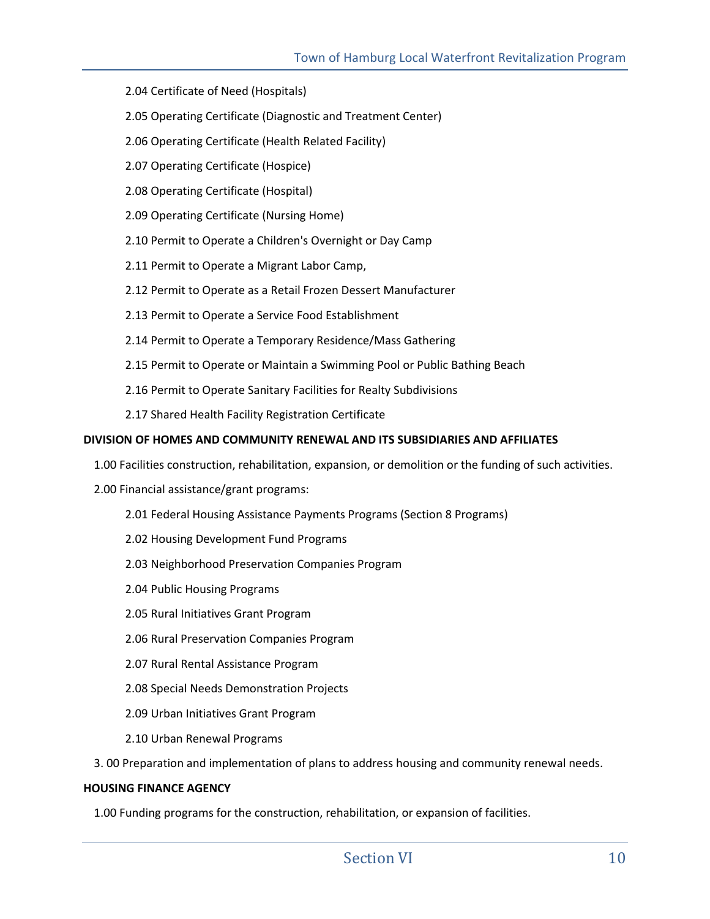- 2.04 Certificate of Need (Hospitals)
- 2.05 Operating Certificate (Diagnostic and Treatment Center)
- 2.06 Operating Certificate (Health Related Facility)
- 2.07 Operating Certificate (Hospice)
- 2.08 Operating Certificate (Hospital)
- 2.09 Operating Certificate (Nursing Home)
- 2.10 Permit to Operate a Children's Overnight or Day Camp
- 2.11 Permit to Operate a Migrant Labor Camp,
- 2.12 Permit to Operate as a Retail Frozen Dessert Manufacturer
- 2.13 Permit to Operate a Service Food Establishment
- 2.14 Permit to Operate a Temporary Residence/Mass Gathering
- 2.15 Permit to Operate or Maintain a Swimming Pool or Public Bathing Beach
- 2.16 Permit to Operate Sanitary Facilities for Realty Subdivisions
- 2.17 Shared Health Facility Registration Certificate

#### **DIVISION OF HOMES AND COMMUNITY RENEWAL AND ITS SUBSIDIARIES AND AFFILIATES**

- 1.00 Facilities construction, rehabilitation, expansion, or demolition or the funding of such activities.
- 2.00 Financial assistance/grant programs:
	- 2.01 Federal Housing Assistance Payments Programs (Section 8 Programs)
	- 2.02 Housing Development Fund Programs
	- 2.03 Neighborhood Preservation Companies Program
	- 2.04 Public Housing Programs
	- 2.05 Rural Initiatives Grant Program
	- 2.06 Rural Preservation Companies Program
	- 2.07 Rural Rental Assistance Program
	- 2.08 Special Needs Demonstration Projects
	- 2.09 Urban Initiatives Grant Program
	- 2.10 Urban Renewal Programs

3. 00 Preparation and implementation of plans to address housing and community renewal needs.

#### **HOUSING FINANCE AGENCY**

1.00 Funding programs for the construction, rehabilitation, or expansion of facilities.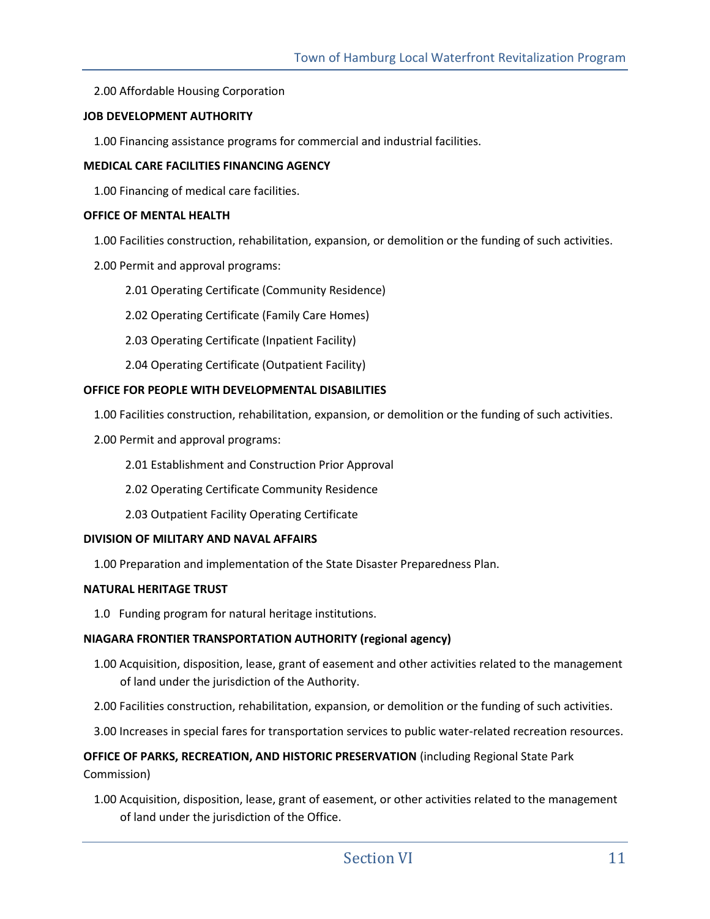2.00 Affordable Housing Corporation

#### **JOB DEVELOPMENT AUTHORITY**

1.00 Financing assistance programs for commercial and industrial facilities.

#### **MEDICAL CARE FACILITIES FINANCING AGENCY**

1.00 Financing of medical care facilities.

#### **OFFICE OF MENTAL HEALTH**

1.00 Facilities construction, rehabilitation, expansion, or demolition or the funding of such activities.

- 2.00 Permit and approval programs:
	- 2.01 Operating Certificate (Community Residence)
	- 2.02 Operating Certificate (Family Care Homes)
	- 2.03 Operating Certificate (Inpatient Facility)
	- 2.04 Operating Certificate (Outpatient Facility)

#### **OFFICE FOR PEOPLE WITH DEVELOPMENTAL DISABILITIES**

1.00 Facilities construction, rehabilitation, expansion, or demolition or the funding of such activities.

- 2.00 Permit and approval programs:
	- 2.01 Establishment and Construction Prior Approval
	- 2.02 Operating Certificate Community Residence
	- 2.03 Outpatient Facility Operating Certificate

#### **DIVISION OF MILITARY AND NAVAL AFFAIRS**

1.00 Preparation and implementation of the State Disaster Preparedness Plan.

#### **NATURAL HERITAGE TRUST**

1.0 Funding program for natural heritage institutions.

## **NIAGARA FRONTIER TRANSPORTATION AUTHORITY (regional agency)**

- 1.00 Acquisition, disposition, lease, grant of easement and other activities related to the management of land under the jurisdiction of the Authority.
- 2.00 Facilities construction, rehabilitation, expansion, or demolition or the funding of such activities.
- 3.00 Increases in special fares for transportation services to public water-related recreation resources.

## **OFFICE OF PARKS, RECREATION, AND HISTORIC PRESERVATION** (including Regional State Park Commission)

1.00 Acquisition, disposition, lease, grant of easement, or other activities related to the management of land under the jurisdiction of the Office.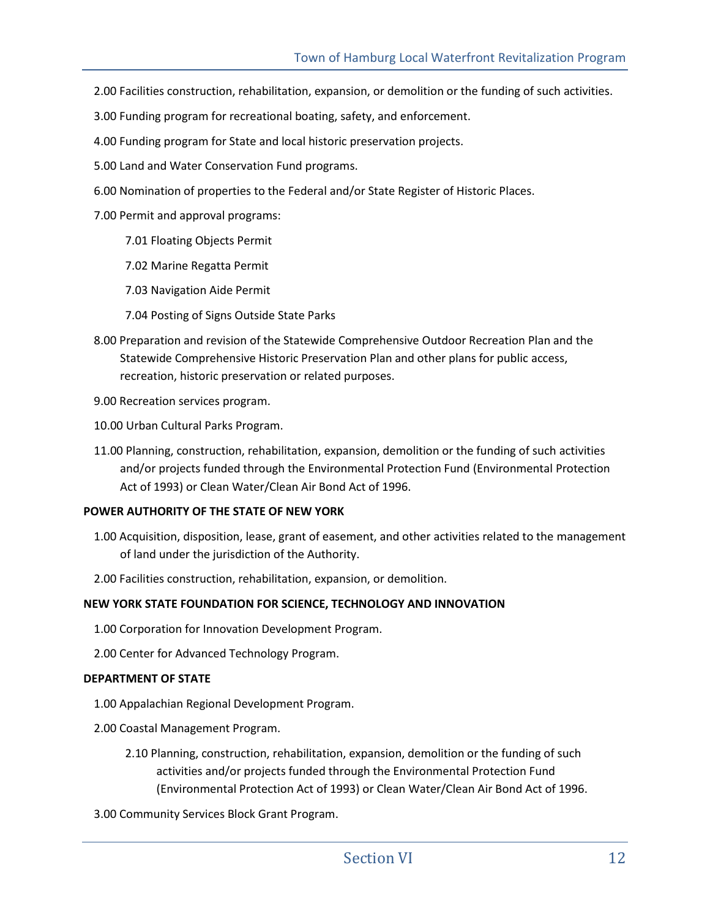- 2.00 Facilities construction, rehabilitation, expansion, or demolition or the funding of such activities.
- 3.00 Funding program for recreational boating, safety, and enforcement.
- 4.00 Funding program for State and local historic preservation projects.
- 5.00 Land and Water Conservation Fund programs.
- 6.00 Nomination of properties to the Federal and/or State Register of Historic Places.
- 7.00 Permit and approval programs:
	- 7.01 Floating Objects Permit
	- 7.02 Marine Regatta Permit
	- 7.03 Navigation Aide Permit
	- 7.04 Posting of Signs Outside State Parks
- 8.00 Preparation and revision of the Statewide Comprehensive Outdoor Recreation Plan and the Statewide Comprehensive Historic Preservation Plan and other plans for public access, recreation, historic preservation or related purposes.

9.00 Recreation services program.

- 10.00 Urban Cultural Parks Program.
- 11.00 Planning, construction, rehabilitation, expansion, demolition or the funding of such activities and/or projects funded through the Environmental Protection Fund (Environmental Protection Act of 1993) or Clean Water/Clean Air Bond Act of 1996.

#### **POWER AUTHORITY OF THE STATE OF NEW YORK**

- 1.00 Acquisition, disposition, lease, grant of easement, and other activities related to the management of land under the jurisdiction of the Authority.
- 2.00 Facilities construction, rehabilitation, expansion, or demolition.

#### **NEW YORK STATE FOUNDATION FOR SCIENCE, TECHNOLOGY AND INNOVATION**

- 1.00 Corporation for Innovation Development Program.
- 2.00 Center for Advanced Technology Program.

#### **DEPARTMENT OF STATE**

- 1.00 Appalachian Regional Development Program.
- 2.00 Coastal Management Program.
	- 2.10 Planning, construction, rehabilitation, expansion, demolition or the funding of such activities and/or projects funded through the Environmental Protection Fund (Environmental Protection Act of 1993) or Clean Water/Clean Air Bond Act of 1996.
- 3.00 Community Services Block Grant Program.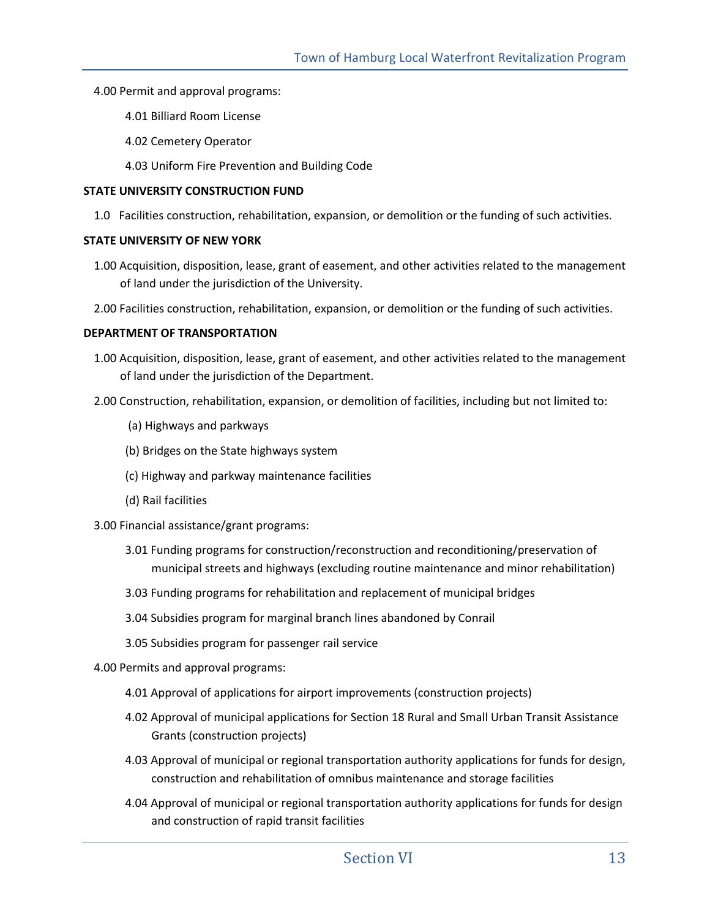#### 4.00 Permit and approval programs:

- 4.01 Billiard Room License
- 4.02 Cemetery Operator
- 4.03 Uniform Fire Prevention and Building Code

#### **STATE UNIVERSITY CONSTRUCTION FUND**

1.0 Facilities construction, rehabilitation, expansion, or demolition or the funding of such activities.

#### **STATE UNIVERSITY OF NEW YORK**

- 1.00 Acquisition, disposition, lease, grant of easement, and other activities related to the management of land under the jurisdiction of the University.
- 2.00 Facilities construction, rehabilitation, expansion, or demolition or the funding of such activities.

#### **DEPARTMENT OF TRANSPORTATION**

- 1.00 Acquisition, disposition, lease, grant of easement, and other activities related to the management of land under the jurisdiction of the Department.
- 2.00 Construction, rehabilitation, expansion, or demolition of facilities, including but not limited to:
	- (a) Highways and parkways
	- (b) Bridges on the State highways system
	- (c) Highway and parkway maintenance facilities
	- (d) Rail facilities

## 3.00 Financial assistance/grant programs:

- 3.01 Funding programs for construction/reconstruction and reconditioning/preservation of municipal streets and highways (excluding routine maintenance and minor rehabilitation)
- 3.03 Funding programs for rehabilitation and replacement of municipal bridges
- 3.04 Subsidies program for marginal branch lines abandoned by Conrail
- 3.05 Subsidies program for passenger rail service

4.00 Permits and approval programs:

- 4.01 Approval of applications for airport improvements (construction projects)
- 4.02 Approval of municipal applications for Section 18 Rural and Small Urban Transit Assistance Grants (construction projects)
- 4.03 Approval of municipal or regional transportation authority applications for funds for design, construction and rehabilitation of omnibus maintenance and storage facilities
- 4.04 Approval of municipal or regional transportation authority applications for funds for design and construction of rapid transit facilities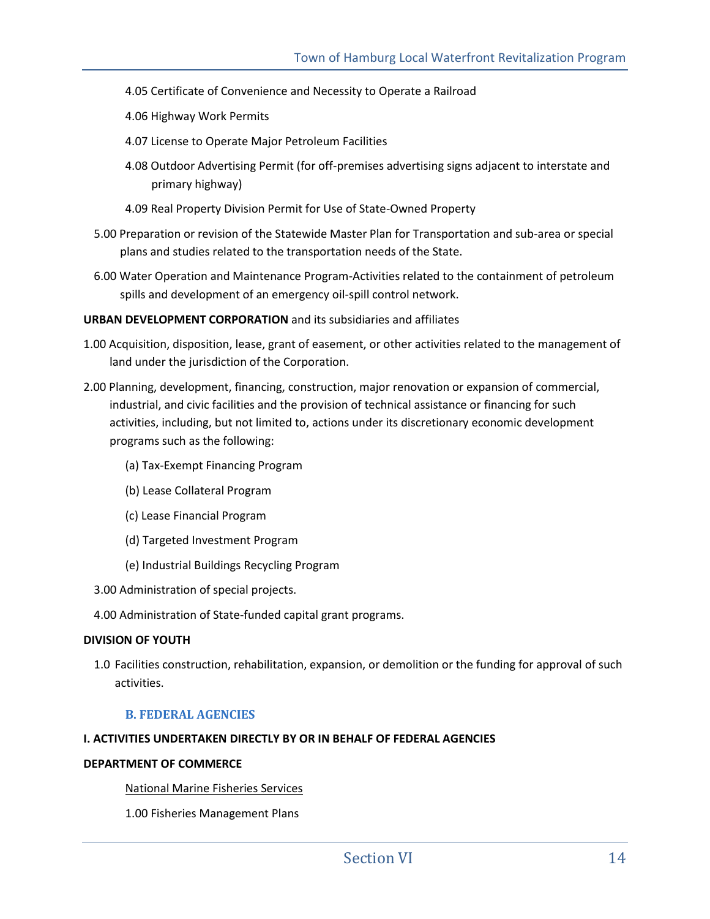- 4.05 Certificate of Convenience and Necessity to Operate a Railroad
- 4.06 Highway Work Permits
- 4.07 License to Operate Major Petroleum Facilities
- 4.08 Outdoor Advertising Permit (for off-premises advertising signs adjacent to interstate and primary highway)
- 4.09 Real Property Division Permit for Use of State-Owned Property
- 5.00 Preparation or revision of the Statewide Master Plan for Transportation and sub-area or special plans and studies related to the transportation needs of the State.
- 6.00 Water Operation and Maintenance Program-Activities related to the containment of petroleum spills and development of an emergency oil-spill control network.

#### **URBAN DEVELOPMENT CORPORATION** and its subsidiaries and affiliates

- 1.00 Acquisition, disposition, lease, grant of easement, or other activities related to the management of land under the jurisdiction of the Corporation.
- 2.00 Planning, development, financing, construction, major renovation or expansion of commercial, industrial, and civic facilities and the provision of technical assistance or financing for such activities, including, but not limited to, actions under its discretionary economic development programs such as the following:
	- (a) Tax-Exempt Financing Program
	- (b) Lease Collateral Program
	- (c) Lease Financial Program
	- (d) Targeted Investment Program
	- (e) Industrial Buildings Recycling Program
	- 3.00 Administration of special projects.
	- 4.00 Administration of State-funded capital grant programs.

#### **DIVISION OF YOUTH**

1.0 Facilities construction, rehabilitation, expansion, or demolition or the funding for approval of such activities.

## **B. FEDERAL AGENCIES**

#### **I. ACTIVITIES UNDERTAKEN DIRECTLY BY OR IN BEHALF OF FEDERAL AGENCIES**

#### **DEPARTMENT OF COMMERCE**

National Marine Fisheries Services

1.00 Fisheries Management Plans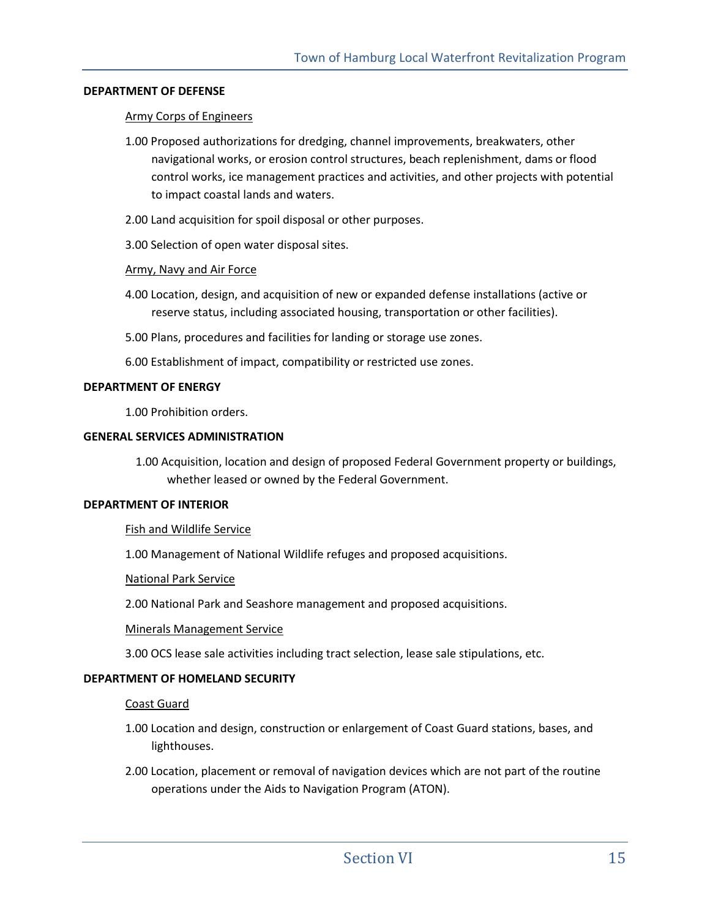#### **DEPARTMENT OF DEFENSE**

#### Army Corps of Engineers

- 1.00 Proposed authorizations for dredging, channel improvements, breakwaters, other navigational works, or erosion control structures, beach replenishment, dams or flood control works, ice management practices and activities, and other projects with potential to impact coastal lands and waters.
- 2.00 Land acquisition for spoil disposal or other purposes.
- 3.00 Selection of open water disposal sites.

#### Army, Navy and Air Force

- 4.00 Location, design, and acquisition of new or expanded defense installations (active or reserve status, including associated housing, transportation or other facilities).
- 5.00 Plans, procedures and facilities for landing or storage use zones.
- 6.00 Establishment of impact, compatibility or restricted use zones.

#### **DEPARTMENT OF ENERGY**

1.00 Prohibition orders.

#### **GENERAL SERVICES ADMINISTRATION**

1.00 Acquisition, location and design of proposed Federal Government property or buildings, whether leased or owned by the Federal Government.

#### **DEPARTMENT OF INTERIOR**

#### Fish and Wildlife Service

1.00 Management of National Wildlife refuges and proposed acquisitions.

#### National Park Service

2.00 National Park and Seashore management and proposed acquisitions.

#### Minerals Management Service

3.00 OCS lease sale activities including tract selection, lease sale stipulations, etc.

#### **DEPARTMENT OF HOMELAND SECURITY**

#### Coast Guard

- 1.00 Location and design, construction or enlargement of Coast Guard stations, bases, and lighthouses.
- 2.00 Location, placement or removal of navigation devices which are not part of the routine operations under the Aids to Navigation Program (ATON).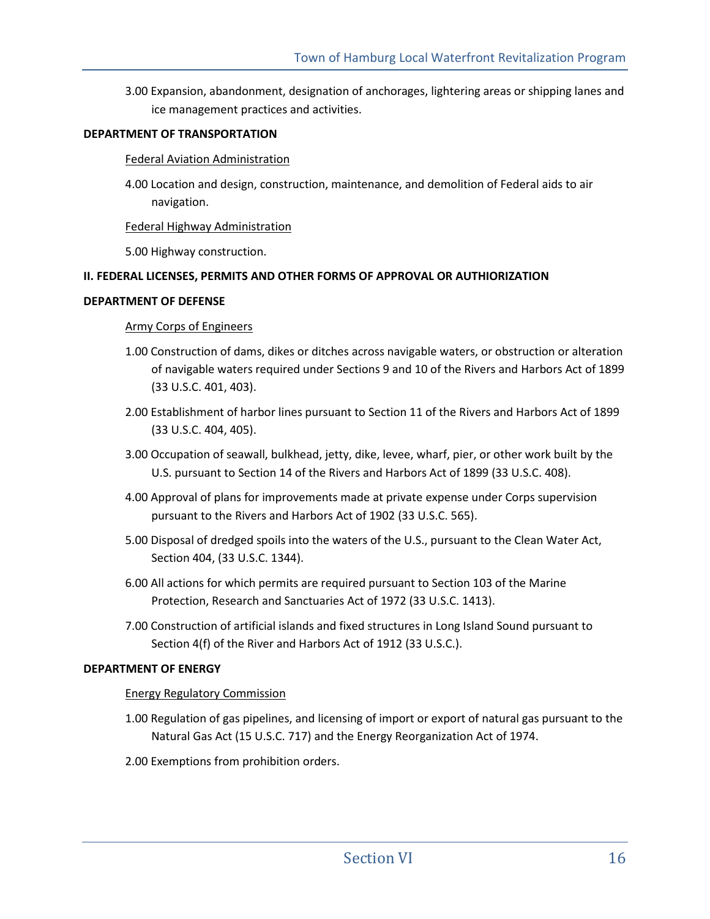3.00 Expansion, abandonment, designation of anchorages, lightering areas or shipping lanes and ice management practices and activities.

#### **DEPARTMENT OF TRANSPORTATION**

#### Federal Aviation Administration

4.00 Location and design, construction, maintenance, and demolition of Federal aids to air navigation.

#### Federal Highway Administration

5.00 Highway construction.

#### **II. FEDERAL LICENSES, PERMITS AND OTHER FORMS OF APPROVAL OR AUTHIORIZATION**

#### **DEPARTMENT OF DEFENSE**

#### Army Corps of Engineers

- 1.00 Construction of dams, dikes or ditches across navigable waters, or obstruction or alteration of navigable waters required under Sections 9 and 10 of the Rivers and Harbors Act of 1899 (33 U.S.C. 401, 403).
- 2.00 Establishment of harbor lines pursuant to Section 11 of the Rivers and Harbors Act of 1899 (33 U.S.C. 404, 405).
- 3.00 Occupation of seawall, bulkhead, jetty, dike, levee, wharf, pier, or other work built by the U.S. pursuant to Section 14 of the Rivers and Harbors Act of 1899 (33 U.S.C. 408).
- 4.00 Approval of plans for improvements made at private expense under Corps supervision pursuant to the Rivers and Harbors Act of 1902 (33 U.S.C. 565).
- 5.00 Disposal of dredged spoils into the waters of the U.S., pursuant to the Clean Water Act, Section 404, (33 U.S.C. 1344).
- 6.00 All actions for which permits are required pursuant to Section 103 of the Marine Protection, Research and Sanctuaries Act of 1972 (33 U.S.C. 1413).
- 7.00 Construction of artificial islands and fixed structures in Long Island Sound pursuant to Section 4(f) of the River and Harbors Act of 1912 (33 U.S.C.).

#### **DEPARTMENT OF ENERGY**

#### Energy Regulatory Commission

- 1.00 Regulation of gas pipelines, and licensing of import or export of natural gas pursuant to the Natural Gas Act (15 U.S.C. 717) and the Energy Reorganization Act of 1974.
- 2.00 Exemptions from prohibition orders.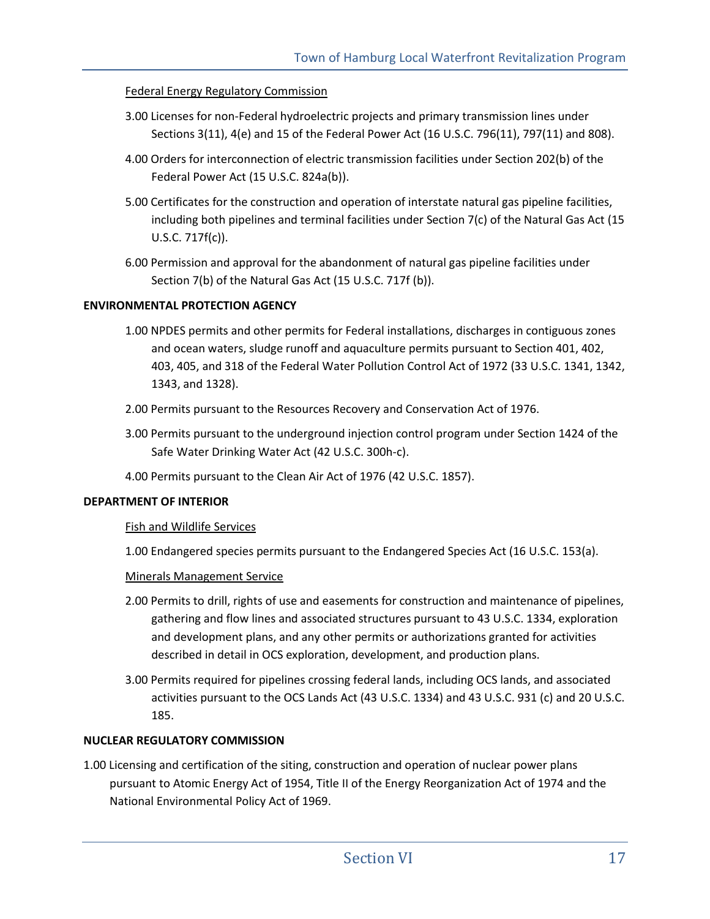## Federal Energy Regulatory Commission

- 3.00 Licenses for non-Federal hydroelectric projects and primary transmission lines under Sections 3(11), 4(e) and 15 of the Federal Power Act (16 U.S.C. 796(11), 797(11) and 808).
- 4.00 Orders for interconnection of electric transmission facilities under Section 202(b) of the Federal Power Act (15 U.S.C. 824a(b)).
- 5.00 Certificates for the construction and operation of interstate natural gas pipeline facilities, including both pipelines and terminal facilities under Section 7(c) of the Natural Gas Act (15 U.S.C. 717f(c)).
- 6.00 Permission and approval for the abandonment of natural gas pipeline facilities under Section 7(b) of the Natural Gas Act (15 U.S.C. 717f (b)).

#### **ENVIRONMENTAL PROTECTION AGENCY**

- 1.00 NPDES permits and other permits for Federal installations, discharges in contiguous zones and ocean waters, sludge runoff and aquaculture permits pursuant to Section 401, 402, 403, 405, and 318 of the Federal Water Pollution Control Act of 1972 (33 U.S.C. 1341, 1342, 1343, and 1328).
- 2.00 Permits pursuant to the Resources Recovery and Conservation Act of 1976.
- 3.00 Permits pursuant to the underground injection control program under Section 1424 of the Safe Water Drinking Water Act (42 U.S.C. 300h-c).
- 4.00 Permits pursuant to the Clean Air Act of 1976 (42 U.S.C. 1857).

#### **DEPARTMENT OF INTERIOR**

#### Fish and Wildlife Services

1.00 Endangered species permits pursuant to the Endangered Species Act (16 U.S.C. 153(a).

#### Minerals Management Service

- 2.00 Permits to drill, rights of use and easements for construction and maintenance of pipelines, gathering and flow lines and associated structures pursuant to 43 U.S.C. 1334, exploration and development plans, and any other permits or authorizations granted for activities described in detail in OCS exploration, development, and production plans.
- 3.00 Permits required for pipelines crossing federal lands, including OCS lands, and associated activities pursuant to the OCS Lands Act (43 U.S.C. 1334) and 43 U.S.C. 931 (c) and 20 U.S.C. 185.

## **NUCLEAR REGULATORY COMMISSION**

1.00 Licensing and certification of the siting, construction and operation of nuclear power plans pursuant to Atomic Energy Act of 1954, Title II of the Energy Reorganization Act of 1974 and the National Environmental Policy Act of 1969.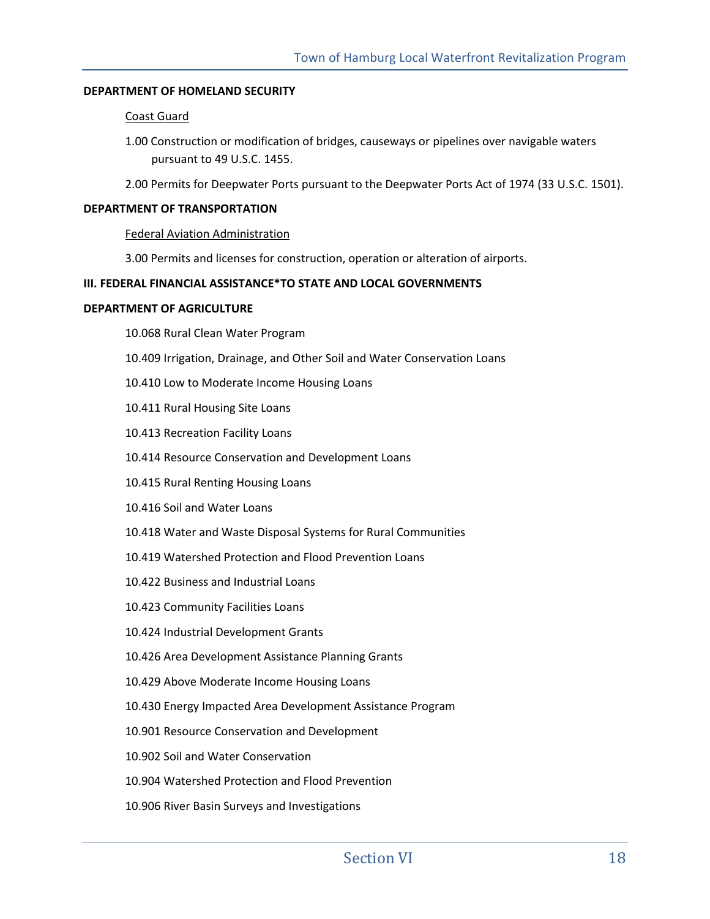#### **DEPARTMENT OF HOMELAND SECURITY**

#### Coast Guard

1.00 Construction or modification of bridges, causeways or pipelines over navigable waters pursuant to 49 U.S.C. 1455.

2.00 Permits for Deepwater Ports pursuant to the Deepwater Ports Act of 1974 (33 U.S.C. 1501).

#### **DEPARTMENT OF TRANSPORTATION**

#### Federal Aviation Administration

3.00 Permits and licenses for construction, operation or alteration of airports.

#### **III. FEDERAL FINANCIAL ASSISTANCE\*TO STATE AND LOCAL GOVERNMENTS**

#### **DEPARTMENT OF AGRICULTURE**

10.068 Rural Clean Water Program

- 10.409 Irrigation, Drainage, and Other Soil and Water Conservation Loans
- 10.410 Low to Moderate Income Housing Loans
- 10.411 Rural Housing Site Loans
- 10.413 Recreation Facility Loans
- 10.414 Resource Conservation and Development Loans
- 10.415 Rural Renting Housing Loans
- 10.416 Soil and Water Loans
- 10.418 Water and Waste Disposal Systems for Rural Communities
- 10.419 Watershed Protection and Flood Prevention Loans
- 10.422 Business and Industrial Loans
- 10.423 Community Facilities Loans
- 10.424 Industrial Development Grants
- 10.426 Area Development Assistance Planning Grants
- 10.429 Above Moderate Income Housing Loans
- 10.430 Energy Impacted Area Development Assistance Program
- 10.901 Resource Conservation and Development
- 10.902 Soil and Water Conservation
- 10.904 Watershed Protection and Flood Prevention
- 10.906 River Basin Surveys and Investigations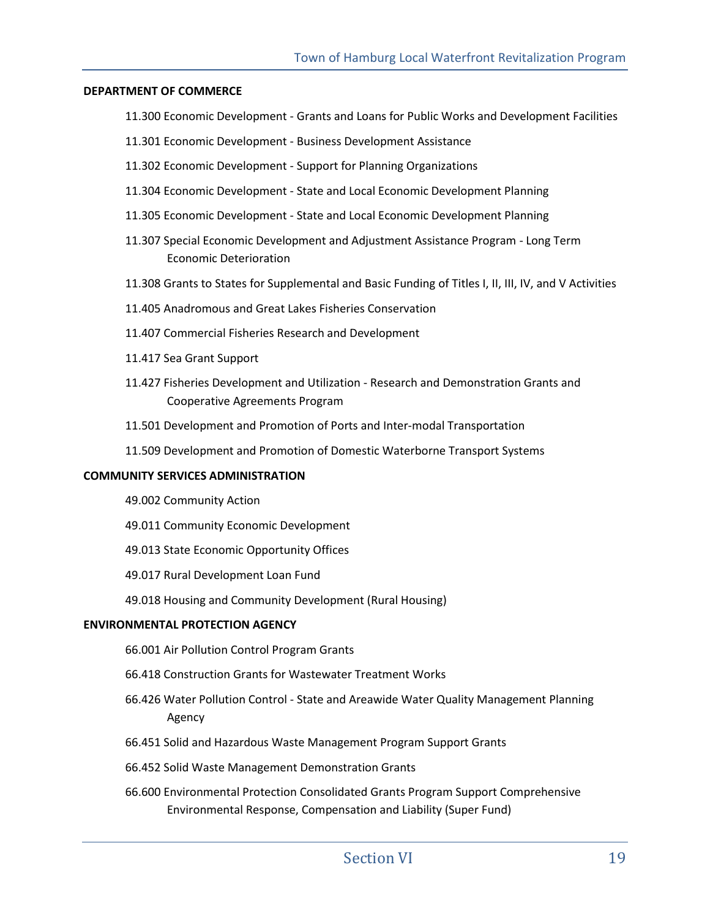#### **DEPARTMENT OF COMMERCE**

- 11.300 Economic Development Grants and Loans for Public Works and Development Facilities
- 11.301 Economic Development Business Development Assistance
- 11.302 Economic Development Support for Planning Organizations
- 11.304 Economic Development State and Local Economic Development Planning
- 11.305 Economic Development State and Local Economic Development Planning
- 11.307 Special Economic Development and Adjustment Assistance Program Long Term Economic Deterioration
- 11.308 Grants to States for Supplemental and Basic Funding of Titles I, II, III, IV, and V Activities
- 11.405 Anadromous and Great Lakes Fisheries Conservation
- 11.407 Commercial Fisheries Research and Development
- 11.417 Sea Grant Support
- 11.427 Fisheries Development and Utilization Research and Demonstration Grants and Cooperative Agreements Program
- 11.501 Development and Promotion of Ports and Inter-modal Transportation
- 11.509 Development and Promotion of Domestic Waterborne Transport Systems

#### **COMMUNITY SERVICES ADMINISTRATION**

- 49.002 Community Action
- 49.011 Community Economic Development
- 49.013 State Economic Opportunity Offices
- 49.017 Rural Development Loan Fund
- 49.018 Housing and Community Development (Rural Housing)

#### **ENVIRONMENTAL PROTECTION AGENCY**

- 66.001 Air Pollution Control Program Grants
- 66.418 Construction Grants for Wastewater Treatment Works
- 66.426 Water Pollution Control State and Areawide Water Quality Management Planning Agency
- 66.451 Solid and Hazardous Waste Management Program Support Grants
- 66.452 Solid Waste Management Demonstration Grants
- 66.600 Environmental Protection Consolidated Grants Program Support Comprehensive Environmental Response, Compensation and Liability (Super Fund)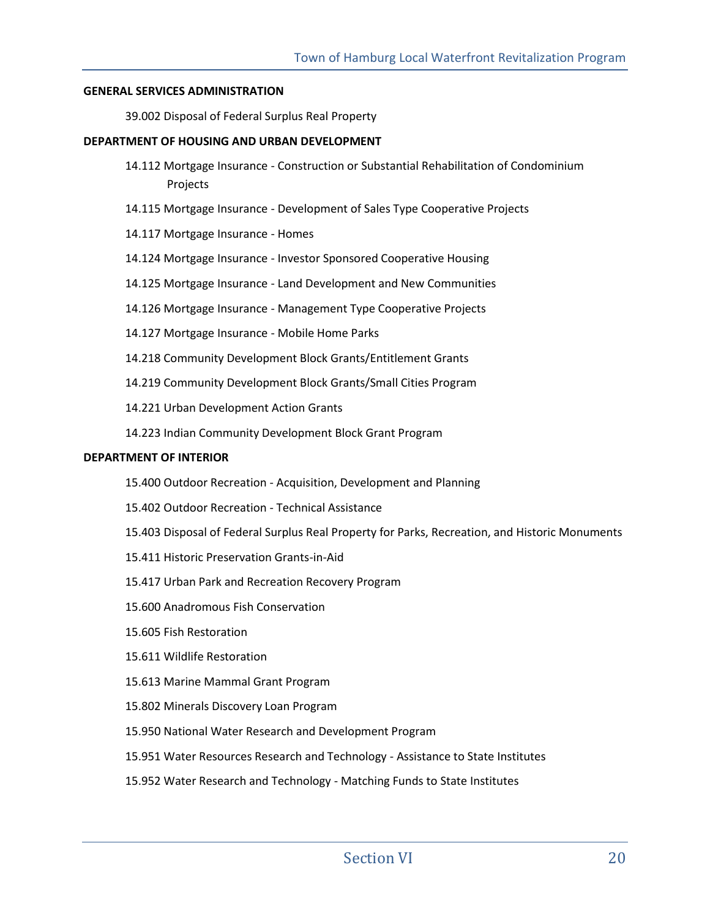#### **GENERAL SERVICES ADMINISTRATION**

39.002 Disposal of Federal Surplus Real Property

#### **DEPARTMENT OF HOUSING AND URBAN DEVELOPMENT**

- 14.112 Mortgage Insurance Construction or Substantial Rehabilitation of Condominium Projects
- 14.115 Mortgage Insurance Development of Sales Type Cooperative Projects
- 14.117 Mortgage Insurance Homes
- 14.124 Mortgage Insurance Investor Sponsored Cooperative Housing
- 14.125 Mortgage Insurance Land Development and New Communities
- 14.126 Mortgage Insurance Management Type Cooperative Projects
- 14.127 Mortgage Insurance Mobile Home Parks
- 14.218 Community Development Block Grants/Entitlement Grants
- 14.219 Community Development Block Grants/Small Cities Program
- 14.221 Urban Development Action Grants
- 14.223 Indian Community Development Block Grant Program

#### **DEPARTMENT OF INTERIOR**

- 15.400 Outdoor Recreation Acquisition, Development and Planning
- 15.402 Outdoor Recreation Technical Assistance
- 15.403 Disposal of Federal Surplus Real Property for Parks, Recreation, and Historic Monuments
- 15.411 Historic Preservation Grants-in-Aid
- 15.417 Urban Park and Recreation Recovery Program
- 15.600 Anadromous Fish Conservation
- 15.605 Fish Restoration
- 15.611 Wildlife Restoration
- 15.613 Marine Mammal Grant Program
- 15.802 Minerals Discovery Loan Program
- 15.950 National Water Research and Development Program
- 15.951 Water Resources Research and Technology Assistance to State Institutes
- 15.952 Water Research and Technology Matching Funds to State Institutes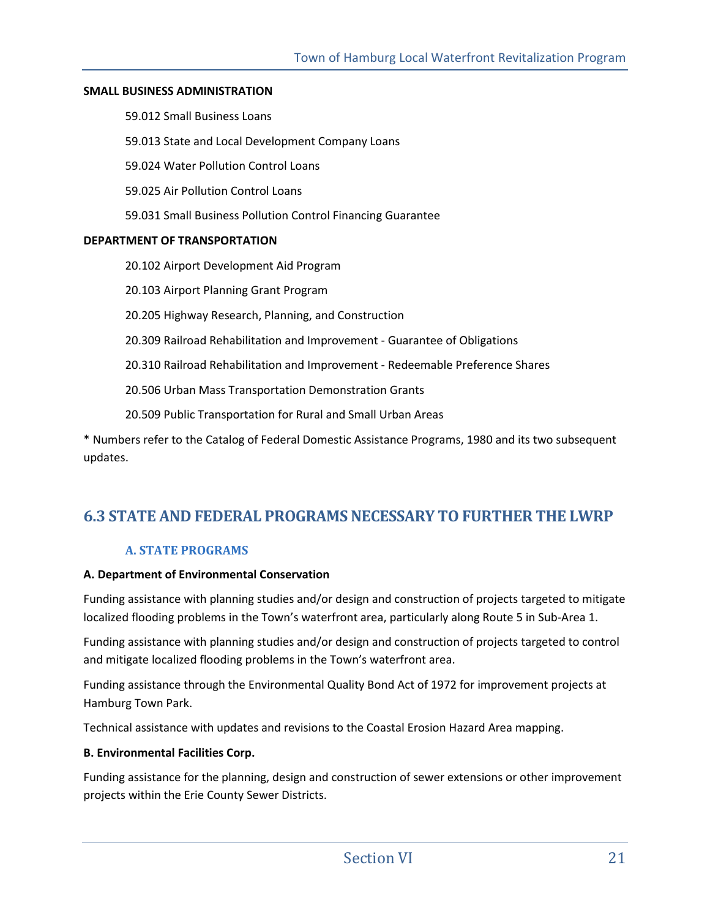#### **SMALL BUSINESS ADMINISTRATION**

59.012 Small Business Loans

59.013 State and Local Development Company Loans

59.024 Water Pollution Control Loans

59.025 Air Pollution Control Loans

59.031 Small Business Pollution Control Financing Guarantee

#### **DEPARTMENT OF TRANSPORTATION**

20.102 Airport Development Aid Program

20.103 Airport Planning Grant Program

20.205 Highway Research, Planning, and Construction

20.309 Railroad Rehabilitation and Improvement - Guarantee of Obligations

20.310 Railroad Rehabilitation and Improvement - Redeemable Preference Shares

20.506 Urban Mass Transportation Demonstration Grants

20.509 Public Transportation for Rural and Small Urban Areas

\* Numbers refer to the Catalog of Federal Domestic Assistance Programs, 1980 and its two subsequent updates.

## **6.3 STATE AND FEDERAL PROGRAMS NECESSARY TO FURTHER THE LWRP**

## **A. STATE PROGRAMS**

#### **A. Department of Environmental Conservation**

Funding assistance with planning studies and/or design and construction of projects targeted to mitigate localized flooding problems in the Town's waterfront area, particularly along Route 5 in Sub-Area 1.

Funding assistance with planning studies and/or design and construction of projects targeted to control and mitigate localized flooding problems in the Town's waterfront area.

Funding assistance through the Environmental Quality Bond Act of 1972 for improvement projects at Hamburg Town Park.

Technical assistance with updates and revisions to the Coastal Erosion Hazard Area mapping.

## **B. Environmental Facilities Corp.**

Funding assistance for the planning, design and construction of sewer extensions or other improvement projects within the Erie County Sewer Districts.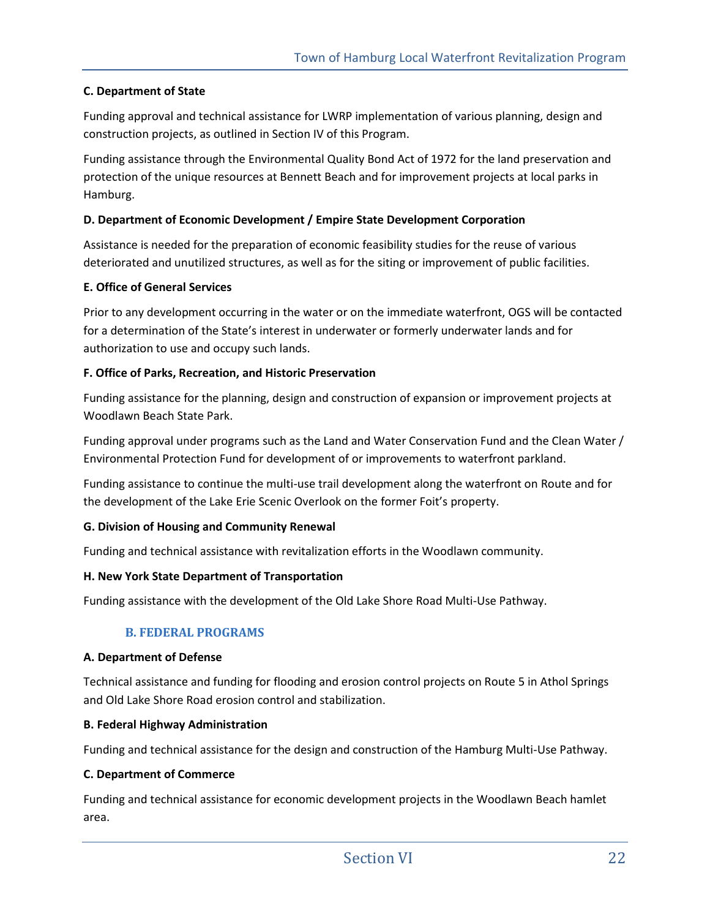## **C. Department of State**

Funding approval and technical assistance for LWRP implementation of various planning, design and construction projects, as outlined in Section IV of this Program.

Funding assistance through the Environmental Quality Bond Act of 1972 for the land preservation and protection of the unique resources at Bennett Beach and for improvement projects at local parks in Hamburg.

## **D. Department of Economic Development / Empire State Development Corporation**

Assistance is needed for the preparation of economic feasibility studies for the reuse of various deteriorated and unutilized structures, as well as for the siting or improvement of public facilities.

## **E. Office of General Services**

Prior to any development occurring in the water or on the immediate waterfront, OGS will be contacted for a determination of the State's interest in underwater or formerly underwater lands and for authorization to use and occupy such lands.

## **F. Office of Parks, Recreation, and Historic Preservation**

Funding assistance for the planning, design and construction of expansion or improvement projects at Woodlawn Beach State Park.

Funding approval under programs such as the Land and Water Conservation Fund and the Clean Water / Environmental Protection Fund for development of or improvements to waterfront parkland.

Funding assistance to continue the multi-use trail development along the waterfront on Route and for the development of the Lake Erie Scenic Overlook on the former Foit's property.

## **G. Division of Housing and Community Renewal**

Funding and technical assistance with revitalization efforts in the Woodlawn community.

## **H. New York State Department of Transportation**

Funding assistance with the development of the Old Lake Shore Road Multi-Use Pathway.

## **B. FEDERAL PROGRAMS**

#### **A. Department of Defense**

Technical assistance and funding for flooding and erosion control projects on Route 5 in Athol Springs and Old Lake Shore Road erosion control and stabilization.

#### **B. Federal Highway Administration**

Funding and technical assistance for the design and construction of the Hamburg Multi-Use Pathway.

#### **C. Department of Commerce**

Funding and technical assistance for economic development projects in the Woodlawn Beach hamlet area.